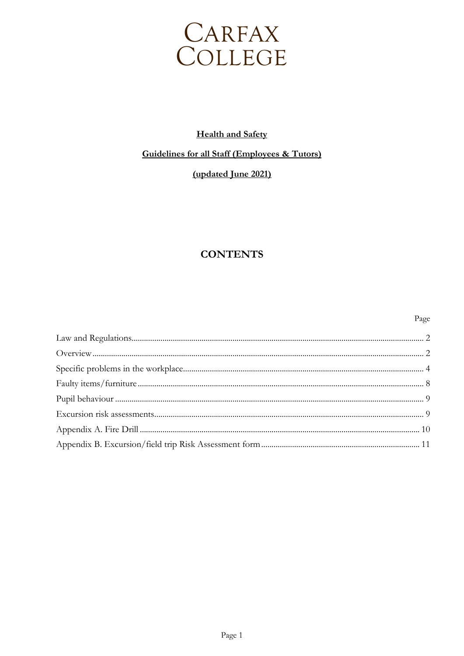

# **Health and Safety**

# **Guidelines for all Staff (Employees & Tutors)**

# (updated June 2021)

# **CONTENTS**

#### Page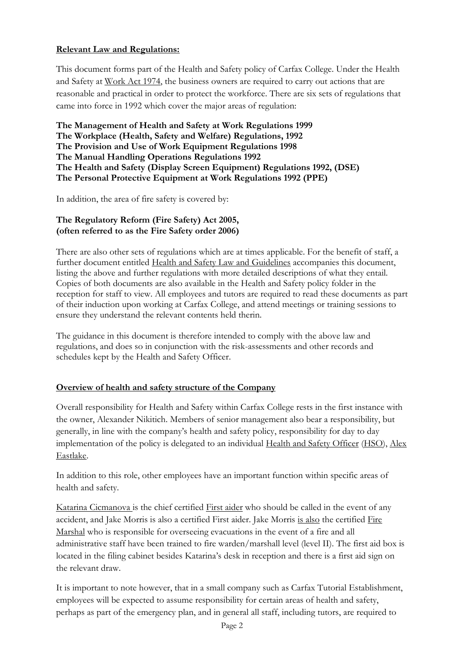## **Relevant Law and Regulations:**

This document forms part of the Health and Safety policy of Carfax College. Under the Health and Safety at Work Act 1974, the business owners are required to carry out actions that are reasonable and practical in order to protect the workforce. There are six sets of regulations that came into force in 1992 which cover the major areas of regulation:

**The Management of Health and Safety at Work Regulations 1999 The Workplace (Health, Safety and Welfare) Regulations, 1992 The Provision and Use of Work Equipment Regulations 1998 The Manual Handling Operations Regulations 1992 The Health and Safety (Display Screen Equipment) Regulations 1992, (DSE) The Personal Protective Equipment at Work Regulations 1992 (PPE)**

In addition, the area of fire safety is covered by:

## **The Regulatory Reform (Fire Safety) Act 2005, (often referred to as the Fire Safety order 2006)**

There are also other sets of regulations which are at times applicable. For the benefit of staff, a further document entitled Health and Safety Law and Guidelines accompanies this document, listing the above and further regulations with more detailed descriptions of what they entail. Copies of both documents are also available in the Health and Safety policy folder in the reception for staff to view. All employees and tutors are required to read these documents as part of their induction upon working at Carfax College, and attend meetings or training sessions to ensure they understand the relevant contents held therin.

The guidance in this document is therefore intended to comply with the above law and regulations, and does so in conjunction with the risk-assessments and other records and schedules kept by the Health and Safety Officer.

# **Overview of health and safety structure of the Company**

Overall responsibility for Health and Safety within Carfax College rests in the first instance with the owner, Alexander Nikitich. Members of senior management also bear a responsibility, but generally, in line with the company's health and safety policy, responsibility for day to day implementation of the policy is delegated to an individual Health and Safety Officer (HSO), Alex Eastlake.

In addition to this role, other employees have an important function within specific areas of health and safety.

Katarina Cicmanova is the chief certified First aider who should be called in the event of any accident, and Jake Morris is also a certified First aider. Jake Morris is also the certified Fire Marshal who is responsible for overseeing evacuations in the event of a fire and all administrative staff have been trained to fire warden/marshall level (level II). The first aid box is located in the filing cabinet besides Katarina's desk in reception and there is a first aid sign on the relevant draw.

It is important to note however, that in a small company such as Carfax Tutorial Establishment, employees will be expected to assume responsibility for certain areas of health and safety, perhaps as part of the emergency plan, and in general all staff, including tutors, are required to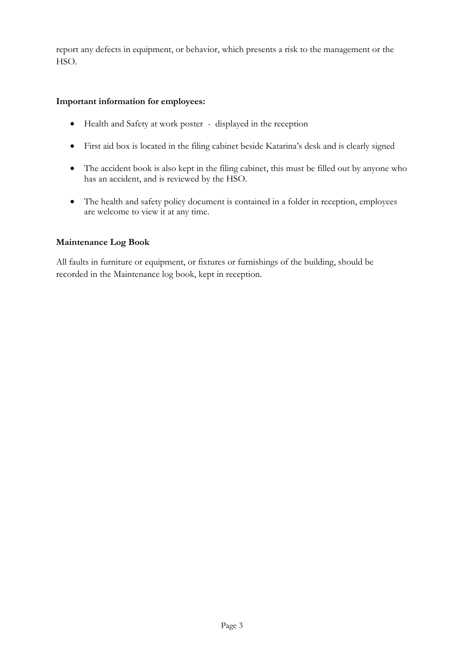report any defects in equipment, or behavior, which presents a risk to the management or the HSO.

#### **Important information for employees:**

- Health and Safety at work poster displayed in the reception
- First aid box is located in the filing cabinet beside Katarina's desk and is clearly signed
- The accident book is also kept in the filing cabinet, this must be filled out by anyone who has an accident, and is reviewed by the HSO.
- The health and safety policy document is contained in a folder in reception, employees are welcome to view it at any time.

## **Maintenance Log Book**

All faults in furniture or equipment, or fixtures or furnishings of the building, should be recorded in the Maintenance log book, kept in reception.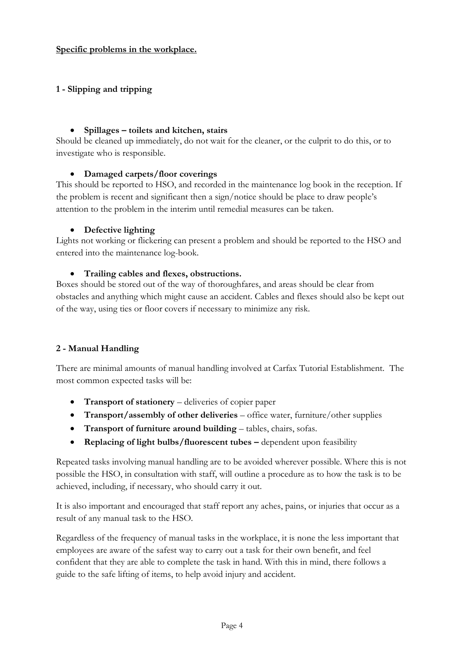#### **Specific problems in the workplace.**

## **1 - Slipping and tripping**

#### • **Spillages – toilets and kitchen, stairs**

Should be cleaned up immediately, do not wait for the cleaner, or the culprit to do this, or to investigate who is responsible.

#### • **Damaged carpets/floor coverings**

This should be reported to HSO, and recorded in the maintenance log book in the reception. If the problem is recent and significant then a sign/notice should be place to draw people's attention to the problem in the interim until remedial measures can be taken.

#### • **Defective lighting**

Lights not working or flickering can present a problem and should be reported to the HSO and entered into the maintenance log-book.

#### • **Trailing cables and flexes, obstructions.**

Boxes should be stored out of the way of thoroughfares, and areas should be clear from obstacles and anything which might cause an accident. Cables and flexes should also be kept out of the way, using ties or floor covers if necessary to minimize any risk.

## **2 - Manual Handling**

There are minimal amounts of manual handling involved at Carfax Tutorial Establishment. The most common expected tasks will be:

- **Transport of stationery** deliveries of copier paper
- **Transport/assembly of other deliveries** office water, furniture/other supplies
- **Transport of furniture around building** tables, chairs, sofas.
- **Replacing of light bulbs/fluorescent tubes –** dependent upon feasibility

Repeated tasks involving manual handling are to be avoided wherever possible. Where this is not possible the HSO, in consultation with staff, will outline a procedure as to how the task is to be achieved, including, if necessary, who should carry it out.

It is also important and encouraged that staff report any aches, pains, or injuries that occur as a result of any manual task to the HSO.

Regardless of the frequency of manual tasks in the workplace, it is none the less important that employees are aware of the safest way to carry out a task for their own benefit, and feel confident that they are able to complete the task in hand. With this in mind, there follows a guide to the safe lifting of items, to help avoid injury and accident.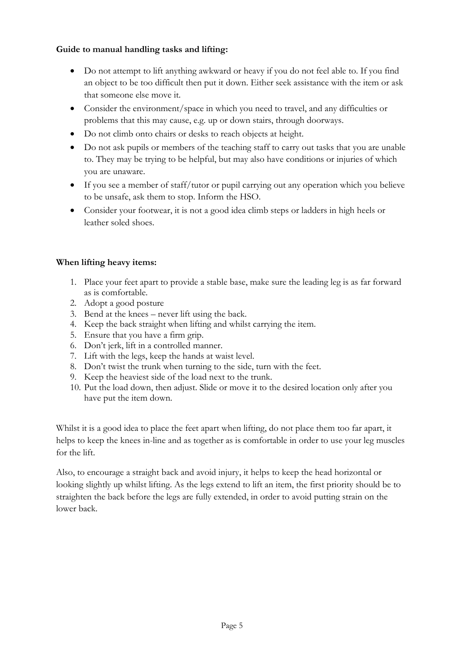## **Guide to manual handling tasks and lifting:**

- Do not attempt to lift anything awkward or heavy if you do not feel able to. If you find an object to be too difficult then put it down. Either seek assistance with the item or ask that someone else move it.
- Consider the environment/space in which you need to travel, and any difficulties or problems that this may cause, e.g. up or down stairs, through doorways.
- Do not climb onto chairs or desks to reach objects at height.
- Do not ask pupils or members of the teaching staff to carry out tasks that you are unable to. They may be trying to be helpful, but may also have conditions or injuries of which you are unaware.
- If you see a member of staff/tutor or pupil carrying out any operation which you believe to be unsafe, ask them to stop. Inform the HSO.
- Consider your footwear, it is not a good idea climb steps or ladders in high heels or leather soled shoes.

# **When lifting heavy items:**

- 1. Place your feet apart to provide a stable base, make sure the leading leg is as far forward as is comfortable.
- 2. Adopt a good posture
- 3. Bend at the knees never lift using the back.
- 4. Keep the back straight when lifting and whilst carrying the item.
- 5. Ensure that you have a firm grip.
- 6. Don't jerk, lift in a controlled manner.
- 7. Lift with the legs, keep the hands at waist level.
- 8. Don't twist the trunk when turning to the side, turn with the feet.
- 9. Keep the heaviest side of the load next to the trunk.
- 10. Put the load down, then adjust. Slide or move it to the desired location only after you have put the item down.

Whilst it is a good idea to place the feet apart when lifting, do not place them too far apart, it helps to keep the knees in-line and as together as is comfortable in order to use your leg muscles for the lift.

Also, to encourage a straight back and avoid injury, it helps to keep the head horizontal or looking slightly up whilst lifting. As the legs extend to lift an item, the first priority should be to straighten the back before the legs are fully extended, in order to avoid putting strain on the lower back.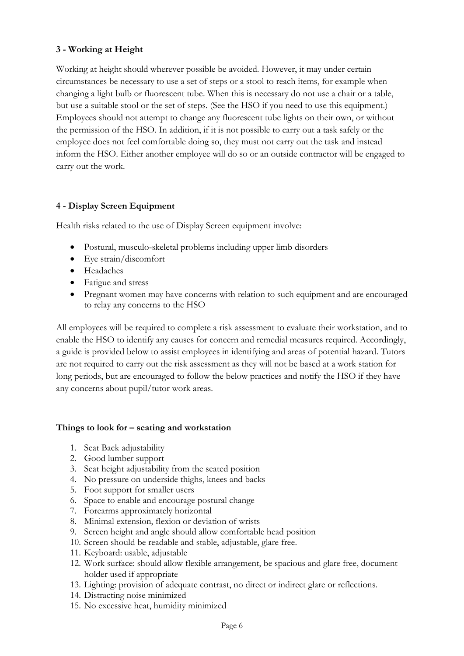## **3 - Working at Height**

Working at height should wherever possible be avoided. However, it may under certain circumstances be necessary to use a set of steps or a stool to reach items, for example when changing a light bulb or fluorescent tube. When this is necessary do not use a chair or a table, but use a suitable stool or the set of steps. (See the HSO if you need to use this equipment.) Employees should not attempt to change any fluorescent tube lights on their own, or without the permission of the HSO. In addition, if it is not possible to carry out a task safely or the employee does not feel comfortable doing so, they must not carry out the task and instead inform the HSO. Either another employee will do so or an outside contractor will be engaged to carry out the work.

## **4 - Display Screen Equipment**

Health risks related to the use of Display Screen equipment involve:

- Postural, musculo-skeletal problems including upper limb disorders
- Eye strain/discomfort
- Headaches
- Fatigue and stress
- Pregnant women may have concerns with relation to such equipment and are encouraged to relay any concerns to the HSO

All employees will be required to complete a risk assessment to evaluate their workstation, and to enable the HSO to identify any causes for concern and remedial measures required. Accordingly, a guide is provided below to assist employees in identifying and areas of potential hazard. Tutors are not required to carry out the risk assessment as they will not be based at a work station for long periods, but are encouraged to follow the below practices and notify the HSO if they have any concerns about pupil/tutor work areas.

## **Things to look for – seating and workstation**

- 1. Seat Back adjustability
- 2. Good lumber support
- 3. Seat height adjustability from the seated position
- 4. No pressure on underside thighs, knees and backs
- 5. Foot support for smaller users
- 6. Space to enable and encourage postural change
- 7. Forearms approximately horizontal
- 8. Minimal extension, flexion or deviation of wrists
- 9. Screen height and angle should allow comfortable head position
- 10. Screen should be readable and stable, adjustable, glare free.
- 11. Keyboard: usable, adjustable
- 12. Work surface: should allow flexible arrangement, be spacious and glare free, document holder used if appropriate
- 13. Lighting: provision of adequate contrast, no direct or indirect glare or reflections.
- 14. Distracting noise minimized
- 15. No excessive heat, humidity minimized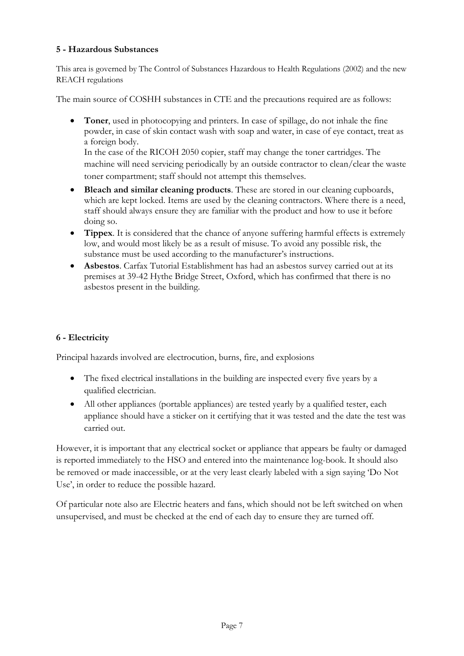## **5 - Hazardous Substances**

This area is governed by The Control of Substances Hazardous to Health Regulations (2002) and the new REACH regulations

The main source of COSHH substances in CTE and the precautions required are as follows:

• **Toner**, used in photocopying and printers. In case of spillage, do not inhale the fine powder, in case of skin contact wash with soap and water, in case of eye contact, treat as a foreign body.

In the case of the RICOH 2050 copier, staff may change the toner cartridges. The machine will need servicing periodically by an outside contractor to clean/clear the waste toner compartment; staff should not attempt this themselves.

- **Bleach and similar cleaning products**. These are stored in our cleaning cupboards, which are kept locked. Items are used by the cleaning contractors. Where there is a need, staff should always ensure they are familiar with the product and how to use it before doing so.
- **Tippex**. It is considered that the chance of anyone suffering harmful effects is extremely low, and would most likely be as a result of misuse. To avoid any possible risk, the substance must be used according to the manufacturer's instructions.
- **Asbestos**. Carfax Tutorial Establishment has had an asbestos survey carried out at its premises at 39-42 Hythe Bridge Street, Oxford, which has confirmed that there is no asbestos present in the building.

# **6 - Electricity**

Principal hazards involved are electrocution, burns, fire, and explosions

- The fixed electrical installations in the building are inspected every five years by a qualified electrician.
- All other appliances (portable appliances) are tested yearly by a qualified tester, each appliance should have a sticker on it certifying that it was tested and the date the test was carried out.

However, it is important that any electrical socket or appliance that appears be faulty or damaged is reported immediately to the HSO and entered into the maintenance log-book. It should also be removed or made inaccessible, or at the very least clearly labeled with a sign saying 'Do Not Use', in order to reduce the possible hazard.

Of particular note also are Electric heaters and fans, which should not be left switched on when unsupervised, and must be checked at the end of each day to ensure they are turned off.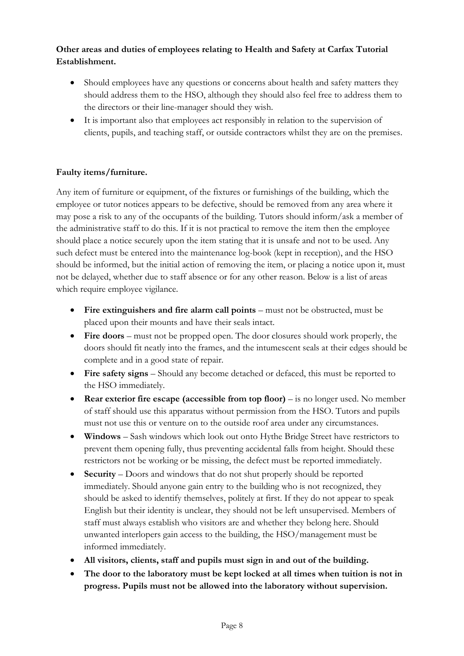# **Other areas and duties of employees relating to Health and Safety at Carfax Tutorial Establishment.**

- Should employees have any questions or concerns about health and safety matters they should address them to the HSO, although they should also feel free to address them to the directors or their line-manager should they wish.
- It is important also that employees act responsibly in relation to the supervision of clients, pupils, and teaching staff, or outside contractors whilst they are on the premises.

# **Faulty items/furniture.**

Any item of furniture or equipment, of the fixtures or furnishings of the building, which the employee or tutor notices appears to be defective, should be removed from any area where it may pose a risk to any of the occupants of the building. Tutors should inform/ask a member of the administrative staff to do this. If it is not practical to remove the item then the employee should place a notice securely upon the item stating that it is unsafe and not to be used. Any such defect must be entered into the maintenance log-book (kept in reception), and the HSO should be informed, but the initial action of removing the item, or placing a notice upon it, must not be delayed, whether due to staff absence or for any other reason. Below is a list of areas which require employee vigilance.

- **Fire extinguishers and fire alarm call points** must not be obstructed, must be placed upon their mounts and have their seals intact.
- **Fire doors** must not be propped open. The door closures should work properly, the doors should fit neatly into the frames, and the intumescent seals at their edges should be complete and in a good state of repair.
- **Fire safety signs** Should any become detached or defaced, this must be reported to the HSO immediately.
- **Rear exterior fire escape (accessible from top floor)** is no longer used. No member of staff should use this apparatus without permission from the HSO. Tutors and pupils must not use this or venture on to the outside roof area under any circumstances.
- **Windows** Sash windows which look out onto Hythe Bridge Street have restrictors to prevent them opening fully, thus preventing accidental falls from height. Should these restrictors not be working or be missing, the defect must be reported immediately.
- **Security** Doors and windows that do not shut properly should be reported immediately. Should anyone gain entry to the building who is not recognized, they should be asked to identify themselves, politely at first. If they do not appear to speak English but their identity is unclear, they should not be left unsupervised. Members of staff must always establish who visitors are and whether they belong here. Should unwanted interlopers gain access to the building, the HSO/management must be informed immediately.
- **All visitors, clients, staff and pupils must sign in and out of the building.**
- **The door to the laboratory must be kept locked at all times when tuition is not in progress. Pupils must not be allowed into the laboratory without supervision.**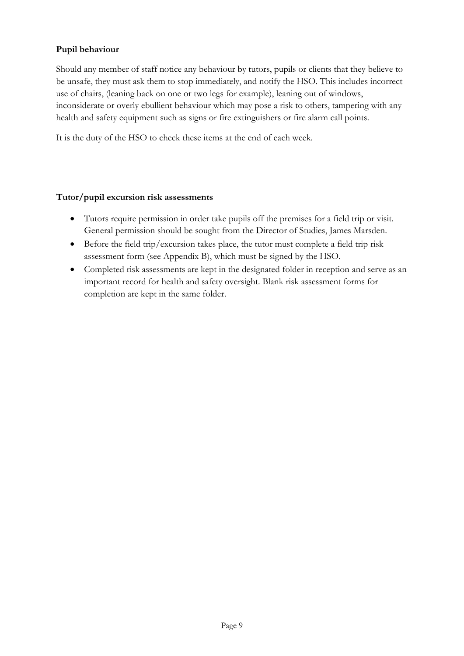## **Pupil behaviour**

Should any member of staff notice any behaviour by tutors, pupils or clients that they believe to be unsafe, they must ask them to stop immediately, and notify the HSO. This includes incorrect use of chairs, (leaning back on one or two legs for example), leaning out of windows, inconsiderate or overly ebullient behaviour which may pose a risk to others, tampering with any health and safety equipment such as signs or fire extinguishers or fire alarm call points.

It is the duty of the HSO to check these items at the end of each week.

#### **Tutor/pupil excursion risk assessments**

- Tutors require permission in order take pupils off the premises for a field trip or visit. General permission should be sought from the Director of Studies, James Marsden.
- Before the field trip/excursion takes place, the tutor must complete a field trip risk assessment form (see Appendix B), which must be signed by the HSO.
- Completed risk assessments are kept in the designated folder in reception and serve as an important record for health and safety oversight. Blank risk assessment forms for completion are kept in the same folder.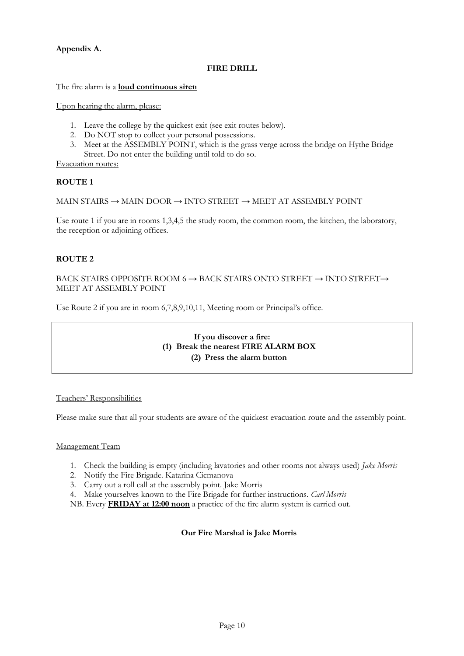#### **Appendix A.**

#### **FIRE DRILL**

The fire alarm is a **loud continuous siren**

Upon hearing the alarm, please:

- 1. Leave the college by the quickest exit (see exit routes below).
- 2. Do NOT stop to collect your personal possessions.
- 3. Meet at the ASSEMBLY POINT, which is the grass verge across the bridge on Hythe Bridge Street. Do not enter the building until told to do so.

Evacuation routes:

#### **ROUTE 1**

```
MAIN STAIRS \rightarrow MAIN DOOR \rightarrow INTO STREET \rightarrow MEET AT ASSEMBLY POINT
```
Use route 1 if you are in rooms 1,3,4,5 the study room, the common room, the kitchen, the laboratory, the reception or adjoining offices.

#### **ROUTE 2**

BACK STAIRS OPPOSITE ROOM 6  $\rightarrow$  BACK STAIRS ONTO STREET  $\rightarrow$  INTO STREET $\rightarrow$ MEET AT ASSEMBLY POINT

Use Route 2 if you are in room 6,7,8,9,10,11, Meeting room or Principal's office.

#### **If you discover a fire: (1) Break the nearest FIRE ALARM BOX (2) Press the alarm button**

#### Teachers' Responsibilities

Please make sure that all your students are aware of the quickest evacuation route and the assembly point.

#### Management Team

- 1. Check the building is empty (including lavatories and other rooms not always used) *Jake Morris*
- 2. Notify the Fire Brigade. Katarina Cicmanova
- 3. Carry out a roll call at the assembly point. Jake Morris
- 4. Make yourselves known to the Fire Brigade for further instructions. *Carl Morris*

NB. Every **FRIDAY at 12:00 noon** a practice of the fire alarm system is carried out.

#### **Our Fire Marshal is Jake Morris**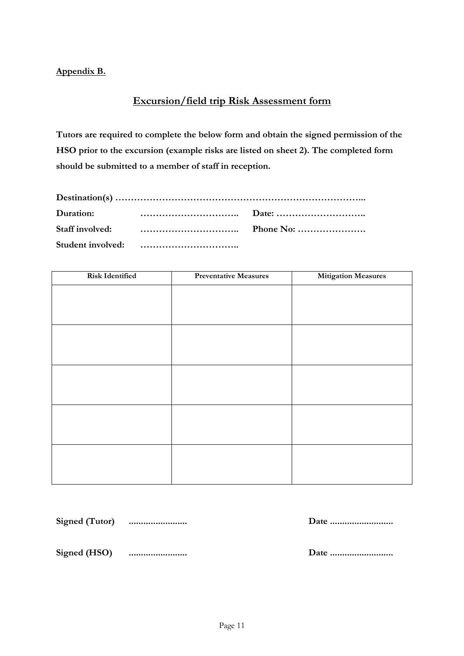## **Appendix B.**

# **Excursion/field trip Risk Assessment form**

**Tutors are required to complete the below form and obtain the signed permission of the HSO prior to the excursion (example risks are listed on sheet 2). The completed form should be submitted to a member of staff in reception.**

| Duration: |  |           |  |  |  |
|-----------|--|-----------|--|--|--|
|           |  | Phone No: |  |  |  |
|           |  |           |  |  |  |

| <b>Risk Identified</b> | <b>Preventative Measures</b> | <b>Mitigation Measures</b> |
|------------------------|------------------------------|----------------------------|
|                        |                              |                            |
|                        |                              |                            |
|                        |                              |                            |
|                        |                              |                            |
|                        |                              |                            |
|                        |                              |                            |
|                        |                              |                            |
|                        |                              |                            |
|                        |                              |                            |
|                        |                              |                            |
|                        |                              |                            |
|                        |                              |                            |
|                        |                              |                            |
|                        |                              |                            |

**Signed (Tutor) ........................ Date ..........................**

**Signed (HSO) ........................ Date ..........................**